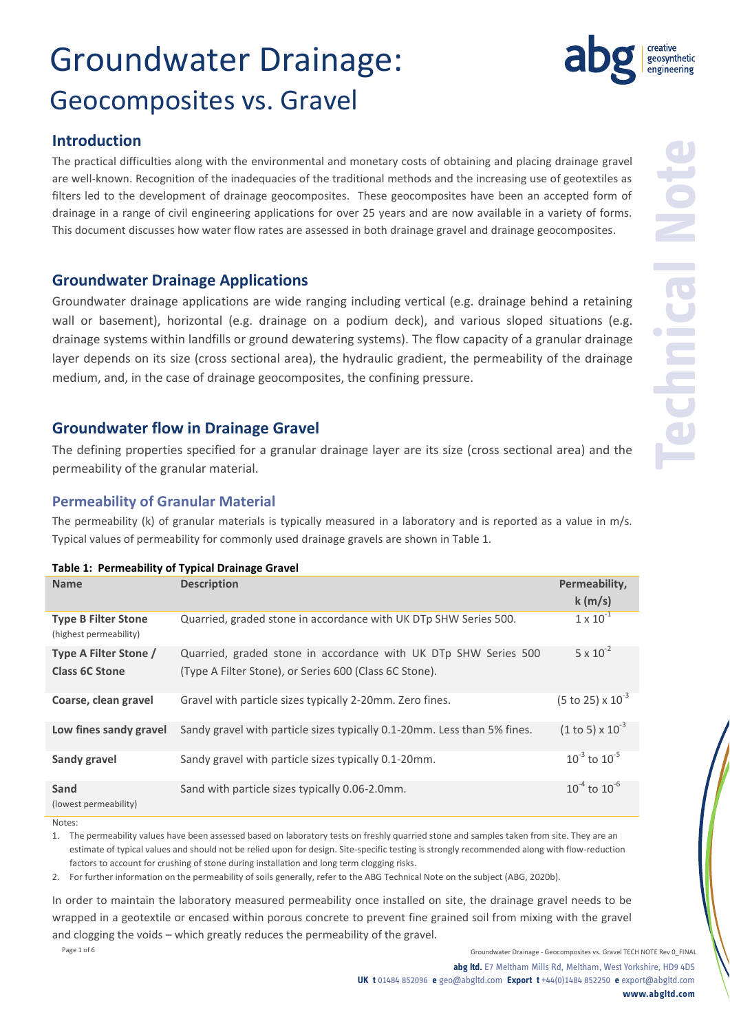### **Introduction**

The practical difficulties along with the environmental and monetary costs of obtaining and placing drainage gravel are well-known. Recognition of the inadequacies of the traditional methods and the increasing use of geotextiles as filters led to the development of drainage geocomposites. These geocomposites have been an accepted form of drainage in a range of civil engineering applications for over 25 years and are now available in a variety of forms. This document discusses how water flow rates are assessed in both drainage gravel and drainage geocomposites.

### **Groundwater Drainage Applications**

Groundwater drainage applications are wide ranging including vertical (e.g. drainage behind a retaining wall or basement), horizontal (e.g. drainage on a podium deck), and various sloped situations (e.g. drainage systems within landfills or ground dewatering systems). The flow capacity of a granular drainage layer depends on its size (cross sectional area), the hydraulic gradient, the permeability of the drainage medium, and, in the case of drainage geocomposites, the confining pressure.

### **Groundwater flow in Drainage Gravel**

The defining properties specified for a granular drainage layer are its size (cross sectional area) and the permeability of the granular material.

#### **Permeability of Granular Material**

The permeability (k) of granular materials is typically measured in a laboratory and is reported as a value in m/s. Typical values of permeability for commonly used drainage gravels are shown in Table 1.

#### **Table 1: Permeability of Typical Drainage Gravel**

| <b>Name</b>                                          | <b>Description</b>                                                       | Permeability,                       |
|------------------------------------------------------|--------------------------------------------------------------------------|-------------------------------------|
|                                                      |                                                                          | k(m/s)                              |
| <b>Type B Filter Stone</b><br>(highest permeability) | Quarried, graded stone in accordance with UK DTp SHW Series 500.         | $1 \times 10^{-1}$                  |
| Type A Filter Stone /                                | Quarried, graded stone in accordance with UK DTp SHW Series 500          | $5 \times 10^{-2}$                  |
| <b>Class 6C Stone</b>                                | (Type A Filter Stone), or Series 600 (Class 6C Stone).                   |                                     |
| Coarse, clean gravel                                 | Gravel with particle sizes typically 2-20mm. Zero fines.                 | $(5 \text{ to } 25) \times 10^{-3}$ |
| Low fines sandy gravel                               | Sandy gravel with particle sizes typically 0.1-20mm. Less than 5% fines. | $(1 to 5) \times 10^{-3}$           |
| Sandy gravel                                         | Sandy gravel with particle sizes typically 0.1-20mm.                     | $10^{-3}$ to $10^{-5}$              |
| Sand<br>(lowest permeability)                        | Sand with particle sizes typically 0.06-2.0mm.                           | $10^{-4}$ to $10^{-6}$              |

Notes:

1. The permeability values have been assessed based on laboratory tests on freshly quarried stone and samples taken from site. They are an estimate of typical values and should not be relied upon for design. Site-specific testing is strongly recommended along with flow-reduction factors to account for crushing of stone during installation and long term clogging risks.

2. For further information on the permeability of soils generally, refer to the ABG Technical Note on the subject (ABG, 2020b).

In order to maintain the laboratory measured permeability once installed on site, the drainage gravel needs to be wrapped in a geotextile or encased within porous concrete to prevent fine grained soil from mixing with the gravel and clogging the voids – which greatly reduces the permeability of the gravel.

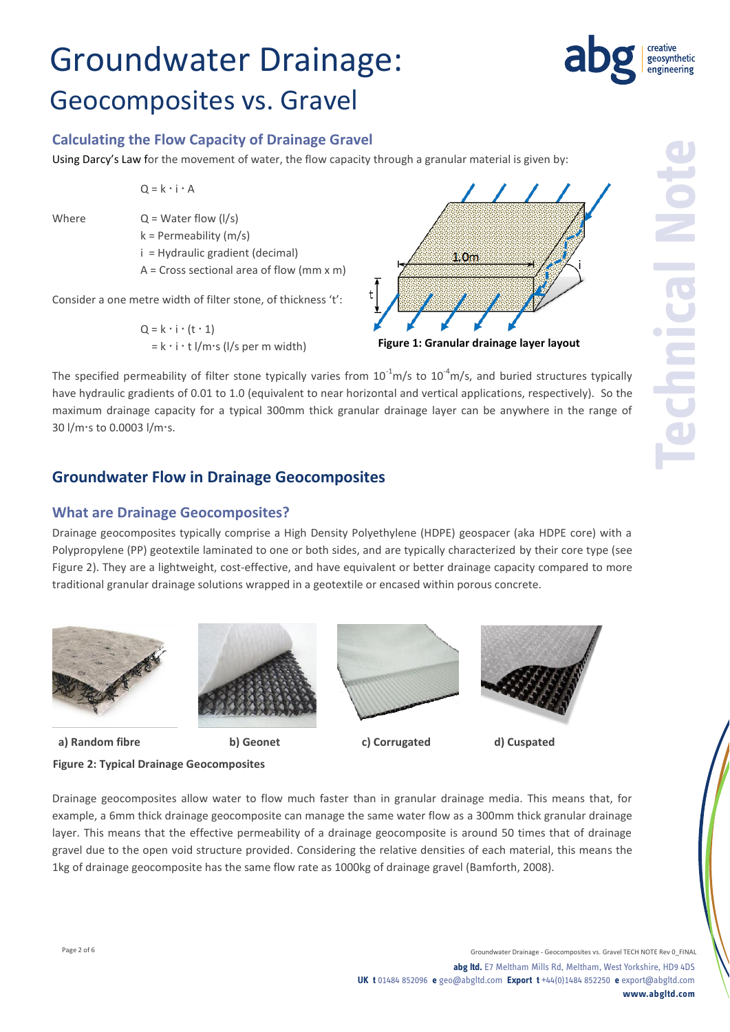### **Calculating the Flow Capacity of Drainage Gravel**

Using Darcy's Law for the movement of water, the flow capacity through a granular material is given by:

 $Q = k \cdot i \cdot A$ 

Where  $Q = W \cdot \text{later flow (I/s)}$ 

k = Permeability (m/s) i = Hydraulic gradient (decimal)

 $A = Cross sectional area of flow (mm x m)$ 

Consider a one metre width of filter stone, of thickness 't':

 $Q = k \cdot i \cdot (t \cdot 1)$  $= k \cdot i \cdot t$   $1/m \cdot s$  ( $1/s$  per m width)



The specified permeability of filter stone typically varies from  $10^{-1}$ m/s to  $10^{-4}$ m/s, and buried structures typically have hydraulic gradients of 0.01 to 1.0 (equivalent to near horizontal and vertical applications, respectively). So the maximum drainage capacity for a typical 300mm thick granular drainage layer can be anywhere in the range of 30 l/m·s to 0.0003 l/m·s.

### **Groundwater Flow in Drainage Geocomposites**

#### **What are Drainage Geocomposites?**

Drainage geocomposites typically comprise a High Density Polyethylene (HDPE) geospacer (aka HDPE core) with a Polypropylene (PP) geotextile laminated to one or both sides, and are typically characterized by their core type (see Figure 2). They are a lightweight, cost-effective, and have equivalent or better drainage capacity compared to more traditional granular drainage solutions wrapped in a geotextile or encased within porous concrete.







 **a) Random fibre b) Geonet c) Corrugated d) Cuspated**

**Figure 2: Typical Drainage Geocomposites**

Drainage geocomposites allow water to flow much faster than in granular drainage media. This means that, for example, a 6mm thick drainage geocomposite can manage the same water flow as a 300mm thick granular drainage layer. This means that the effective permeability of a drainage geocomposite is around 50 times that of drainage gravel due to the open void structure provided. Considering the relative densities of each material, this means the 1kg of drainage geocomposite has the same flow rate as 1000kg of drainage gravel (Bamforth, 2008).

geosynthetic engineering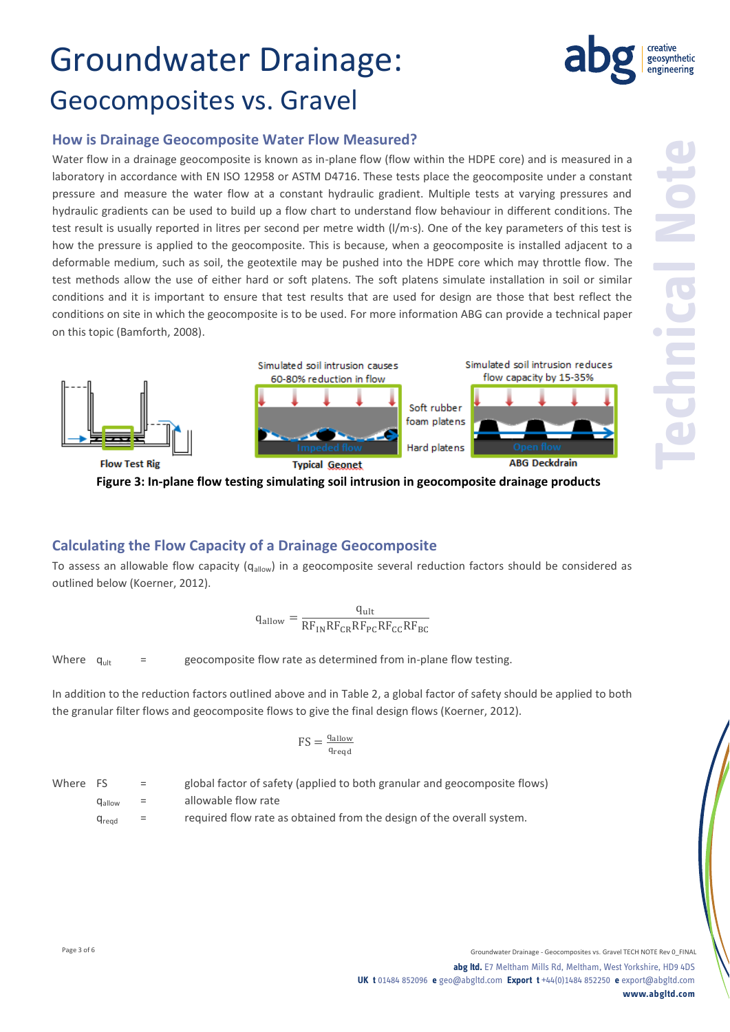

Water flow in a drainage geocomposite is known as in-plane flow (flow within the HDPE core) and is measured in a laboratory in accordance with EN ISO 12958 or ASTM D4716. These tests place the geocomposite under a constant pressure and measure the water flow at a constant hydraulic gradient. Multiple tests at varying pressures and hydraulic gradients can be used to build up a flow chart to understand flow behaviour in different conditions. The test result is usually reported in litres per second per metre width (l/m·s). One of the key parameters of this test is how the pressure is applied to the geocomposite. This is because, when a geocomposite is installed adjacent to a deformable medium, such as soil, the geotextile may be pushed into the HDPE core which may throttle flow. The test methods allow the use of either hard or soft platens. The soft platens simulate installation in soil or similar conditions and it is important to ensure that test results that are used for design are those that best reflect the conditions on site in which the geocomposite is to be used. For more information ABG can provide a technical paper on this topic (Bamforth, 2008).



**Figure 3: In-plane flow testing simulating soil intrusion in geocomposite drainage products**

#### **Calculating the Flow Capacity of a Drainage Geocomposite**

To assess an allowable flow capacity (q<sub>allow</sub>) in a geocomposite several reduction factors should be considered as outlined below (Koerner, 2012).

$$
q_{\text{allow}} = \frac{q_{\text{ult}}}{RF_{\text{IN}}RF_{\text{CR}}RF_{\text{PC}}RF_{\text{CC}}RF_{\text{BC}}}
$$

Where  $q_{\text{ult}}$  = geocomposite flow rate as determined from in-plane flow testing.

In addition to the reduction factors outlined above and in Table 2, a global factor of safety should be applied to both the granular filter flows and geocomposite flows to give the final design flows (Koerner, 2012).

$$
FS = \frac{q_{\text{allow}}}{q_{\text{reqd}}}
$$

| Where FS |               | $=$            | global factor of safety (applied to both granular and geocomposite flows) |
|----------|---------------|----------------|---------------------------------------------------------------------------|
|          | Hallow        | <b>SECTION</b> | allowable flow rate                                                       |
|          | <b>U</b> read | $=$            | required flow rate as obtained from the design of the overall system.     |

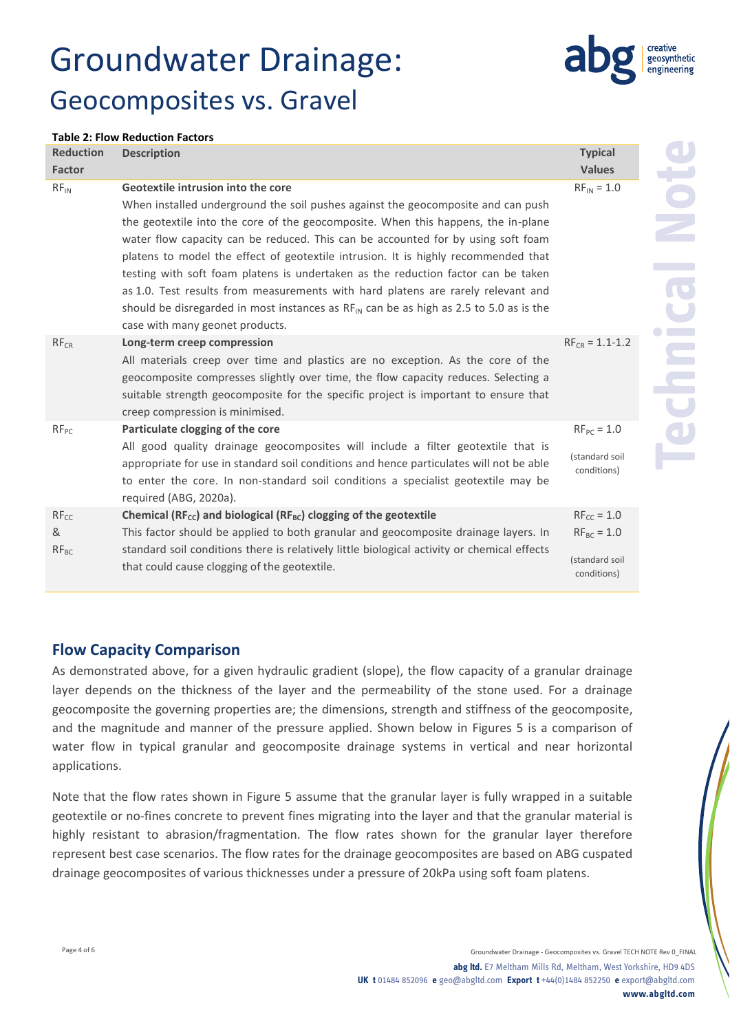

#### **Table 2: Flow Reduction Factors**

| <b>Reduction</b>            | <b>Description</b>                                                                                                                                                                                                                                                                                                                                                                                                                                                                                                                                                                                                                                                                               | <b>Typical</b>                                                      |
|-----------------------------|--------------------------------------------------------------------------------------------------------------------------------------------------------------------------------------------------------------------------------------------------------------------------------------------------------------------------------------------------------------------------------------------------------------------------------------------------------------------------------------------------------------------------------------------------------------------------------------------------------------------------------------------------------------------------------------------------|---------------------------------------------------------------------|
| <b>Factor</b>               |                                                                                                                                                                                                                                                                                                                                                                                                                                                                                                                                                                                                                                                                                                  | <b>Values</b>                                                       |
| $RF_{IN}$                   | Geotextile intrusion into the core<br>When installed underground the soil pushes against the geocomposite and can push<br>the geotextile into the core of the geocomposite. When this happens, the in-plane<br>water flow capacity can be reduced. This can be accounted for by using soft foam<br>platens to model the effect of geotextile intrusion. It is highly recommended that<br>testing with soft foam platens is undertaken as the reduction factor can be taken<br>as 1.0. Test results from measurements with hard platens are rarely relevant and<br>should be disregarded in most instances as $RF_{IN}$ can be as high as 2.5 to 5.0 as is the<br>case with many geonet products. | $RF_{IN} = 1.0$                                                     |
| $RF_{CR}$                   | Long-term creep compression<br>All materials creep over time and plastics are no exception. As the core of the<br>geocomposite compresses slightly over time, the flow capacity reduces. Selecting a<br>suitable strength geocomposite for the specific project is important to ensure that<br>creep compression is minimised.                                                                                                                                                                                                                                                                                                                                                                   | $RF_{CR} = 1.1 - 1.2$                                               |
| $RF_{PC}$                   | Particulate clogging of the core<br>All good quality drainage geocomposites will include a filter geotextile that is<br>appropriate for use in standard soil conditions and hence particulates will not be able<br>to enter the core. In non-standard soil conditions a specialist geotextile may be<br>required (ABG, 2020a).                                                                                                                                                                                                                                                                                                                                                                   | $RF_{PC} = 1.0$<br>(standard soil<br>conditions)                    |
| $RF_{CC}$<br>&<br>$RF_{BC}$ | Chemical ( $RF_{cc}$ ) and biological ( $RF_{BC}$ ) clogging of the geotextile<br>This factor should be applied to both granular and geocomposite drainage layers. In<br>standard soil conditions there is relatively little biological activity or chemical effects<br>that could cause clogging of the geotextile.                                                                                                                                                                                                                                                                                                                                                                             | $RF_{CC} = 1.0$<br>$RF_{BC} = 1.0$<br>(standard soil<br>conditions) |

#### **Flow Capacity Comparison**

As demonstrated above, for a given hydraulic gradient (slope), the flow capacity of a granular drainage layer depends on the thickness of the layer and the permeability of the stone used. For a drainage geocomposite the governing properties are; the dimensions, strength and stiffness of the geocomposite, and the magnitude and manner of the pressure applied. Shown below in Figures 5 is a comparison of water flow in typical granular and geocomposite drainage systems in vertical and near horizontal applications.

Note that the flow rates shown in Figure 5 assume that the granular layer is fully wrapped in a suitable geotextile or no-fines concrete to prevent fines migrating into the layer and that the granular material is highly resistant to abrasion/fragmentation. The flow rates shown for the granular layer therefore represent best case scenarios. The flow rates for the drainage geocomposites are based on ABG cuspated drainage geocomposites of various thicknesses under a pressure of 20kPa using soft foam platens.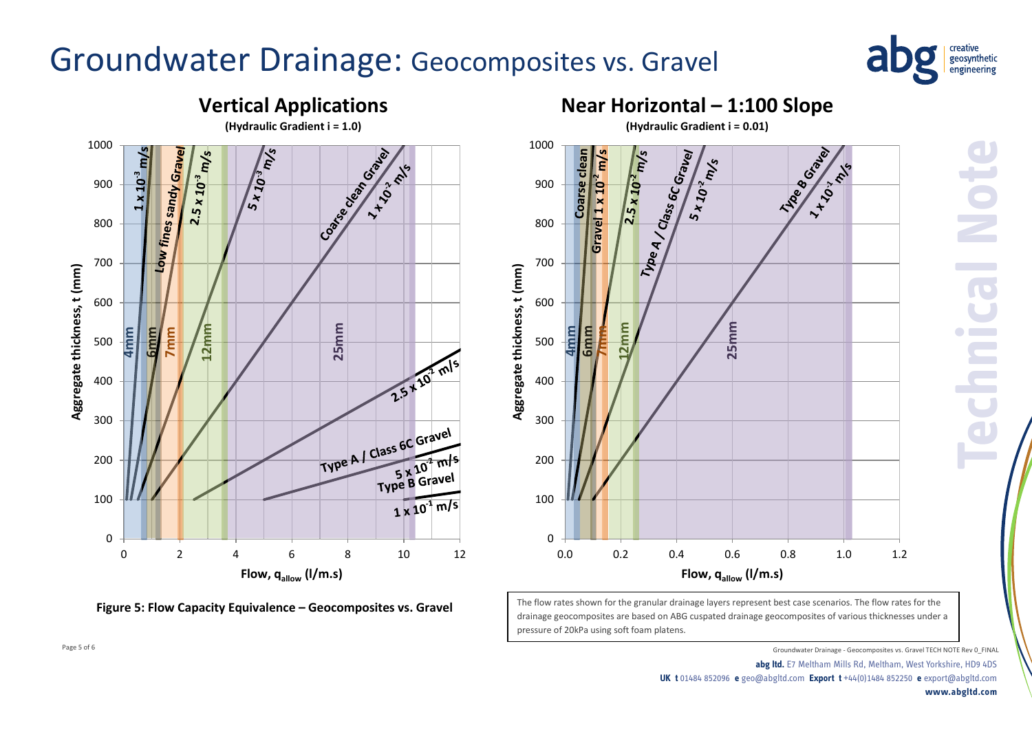

**Technical Note**



**Figure 5: Flow Capacity Equivalence – Geocomposites vs. Gravel**



The flow rates shown for the granular drainage layers represent best case scenarios. The flow rates for the drainage geocomposites are based on ABG cuspated drainage geocomposites of various thicknesses under a pressure of 20kPa using soft foam platens.

Page 5 of 6 Groundwater Drainage - Geocomposites vs. Gravel TECH NOTE Rev 0\_FINAL **Textangle - Geocomposites vs. Gravel TECH NOTE Rev** 0\_FINAL

**abg ltd.** E7 Meltham Mills Rd, Meltham, West Yorkshire, HD9 4DS **UK t** 01484 852096 **e** geo@abgltd.com **Export t** +44(0)1484 852250 **e** export@abgltd.com **www.abgltd.com**